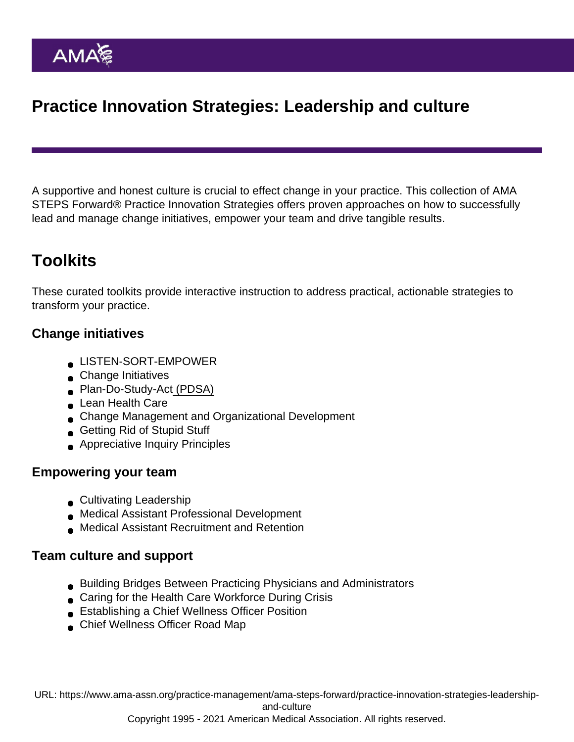# Practice Innovation Strategies: Leadership and culture

A supportive and honest culture is crucial to effect change in your practice. This collection of AMA STEPS Forward® Practice Innovation Strategies offers proven approaches on how to successfully lead and manage change initiatives, empower your team and drive tangible results.

# **Toolkits**

These curated toolkits provide interactive instruction to address practical, actionable strategies to transform your practice.

### Change initiatives

- [LISTEN-SORT-EMPOWER](https://edhub.ama-assn.org/steps-forward/module/2767765)
- **[Change Initiatives](https://edhub.ama-assn.org/steps-forward/module/2702749)**
- [Plan-Do-Study-Act](https://edhub.ama-assn.org/steps-forward/module/2702507) (PDSA)
- [Lean Health Care](https://edhub.ama-assn.org/steps-forward/module/2702597)
- [Change Management and Organizational Development](https://edhub.ama-assn.org/steps-forward/module/2702744)
- [Getting Rid of Stupid Stuff](https://edhub.ama-assn.org/steps-forward/module/2757858)
- [Appreciative Inquiry Principles](https://edhub.ama-assn.org/steps-forward/module/2702691)

#### Empowering your team

- [Cultivating Leadership](https://edhub.ama-assn.org/steps-forward/module/2774089)
- [Medical Assistant Professional Development](https://edhub.ama-assn.org/steps-forward/module/2702558)
- [Medical Assistant Recruitment and Retention](https://edhub.ama-assn.org/steps-forward/module/2784465)

#### Team culture and support

- [Building Bridges Between Practicing Physicians and Administrators](https://edhub.ama-assn.org/steps-forward/module/2780305)
- **[Caring for the Health Care Workforce During Crisis](https://edhub.ama-assn.org/steps-forward/module/2768609)**
- [Establishing a Chief Wellness Officer Position](https://edhub.ama-assn.org/steps-forward/module/2767739)
- [Chief Wellness Officer Road Map](https://edhub.ama-assn.org/steps-forward/module/2767764)

URL: [https://www.ama-assn.org/practice-management/ama-steps-forward/practice-innovation-strategies-leadership](https://www.ama-assn.org/practice-management/ama-steps-forward/practice-innovation-strategies-leadership-and-culture)[and-culture](https://www.ama-assn.org/practice-management/ama-steps-forward/practice-innovation-strategies-leadership-and-culture)